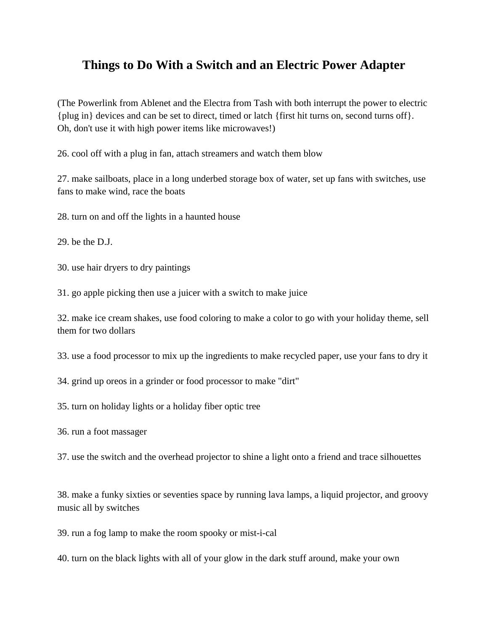## **Things to Do With a Switch and an Electric Power Adapter**

(The Powerlink from Ablenet and the Electra from Tash with both interrupt the power to electric {plug in} devices and can be set to direct, timed or latch {first hit turns on, second turns off}. Oh, don't use it with high power items like microwaves!)

26. cool off with a plug in fan, attach streamers and watch them blow

27. make sailboats, place in a long underbed storage box of water, set up fans with switches, use fans to make wind, race the boats

28. turn on and off the lights in a haunted house

29. be the D.J.

30. use hair dryers to dry paintings

31. go apple picking then use a juicer with a switch to make juice

32. make ice cream shakes, use food coloring to make a color to go with your holiday theme, sell them for two dollars

33. use a food processor to mix up the ingredients to make recycled paper, use your fans to dry it

34. grind up oreos in a grinder or food processor to make "dirt"

35. turn on holiday lights or a holiday fiber optic tree

36. run a foot massager

37. use the switch and the overhead projector to shine a light onto a friend and trace silhouettes

38. make a funky sixties or seventies space by running lava lamps, a liquid projector, and groovy music all by switches

39. run a fog lamp to make the room spooky or mist-i-cal

40. turn on the black lights with all of your glow in the dark stuff around, make your own